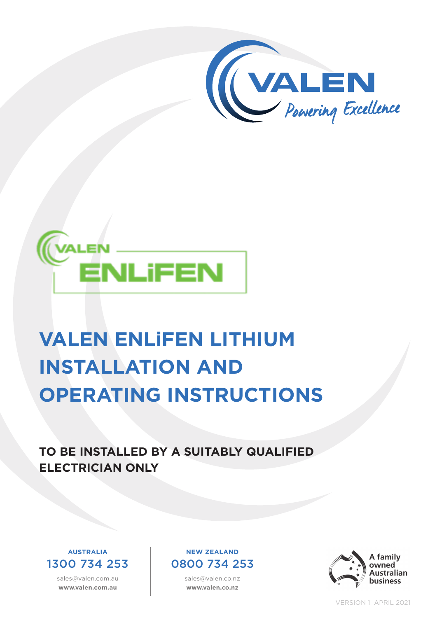



# **VALEN ENLiFEN LITHIUM INSTALLATION AND OPERATING INSTRUCTIONS**

**TO BE INSTALLED BY A SUITABLY QUALIFIED ELECTRICIAN ONLY**



sales@valen.com.au **www.valen.com.au**

#### **NEW ZEALAND** 0800 734 253

sales@valen.co.nz **www.valen.co.nz**



VERSION 1 APRIL 2021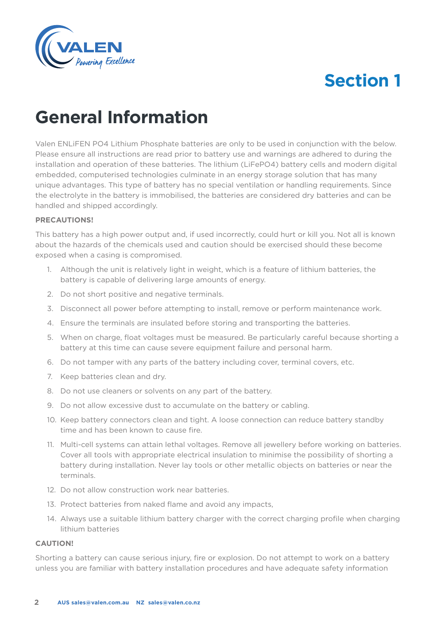

### **General Information**

Valen ENLiFEN PO4 Lithium Phosphate batteries are only to be used in conjunction with the below. Please ensure all instructions are read prior to battery use and warnings are adhered to during the installation and operation of these batteries. The lithium (LiFePO4) battery cells and modern digital embedded, computerised technologies culminate in an energy storage solution that has many unique advantages. This type of battery has no special ventilation or handling requirements. Since the electrolyte in the battery is immobilised, the batteries are considered dry batteries and can be handled and shipped accordingly.

#### **PRECAUTIONS!**

This battery has a high power output and, if used incorrectly, could hurt or kill you. Not all is known about the hazards of the chemicals used and caution should be exercised should these become exposed when a casing is compromised.

- 1. Although the unit is relatively light in weight, which is a feature of lithium batteries, the battery is capable of delivering large amounts of energy.
- 2. Do not short positive and negative terminals.
- 3. Disconnect all power before attempting to install, remove or perform maintenance work.
- 4. Ensure the terminals are insulated before storing and transporting the batteries.
- 5. When on charge, float voltages must be measured. Be particularly careful because shorting a battery at this time can cause severe equipment failure and personal harm.
- 6. Do not tamper with any parts of the battery including cover, terminal covers, etc.
- 7. Keep batteries clean and dry.
- 8. Do not use cleaners or solvents on any part of the battery.
- 9. Do not allow excessive dust to accumulate on the battery or cabling.
- 10. Keep battery connectors clean and tight. A loose connection can reduce battery standby time and has been known to cause fire.
- 11. Multi-cell systems can attain lethal voltages. Remove all jewellery before working on batteries. Cover all tools with appropriate electrical insulation to minimise the possibility of shorting a battery during installation. Never lay tools or other metallic objects on batteries or near the terminals.
- 12. Do not allow construction work near batteries.
- 13. Protect batteries from naked flame and avoid any impacts,
- 14. Always use a suitable lithium battery charger with the correct charging profile when charging lithium batteries

#### **CAUTION!**

Shorting a battery can cause serious injury, fire or explosion. Do not attempt to work on a battery unless you are familiar with battery installation procedures and have adequate safety information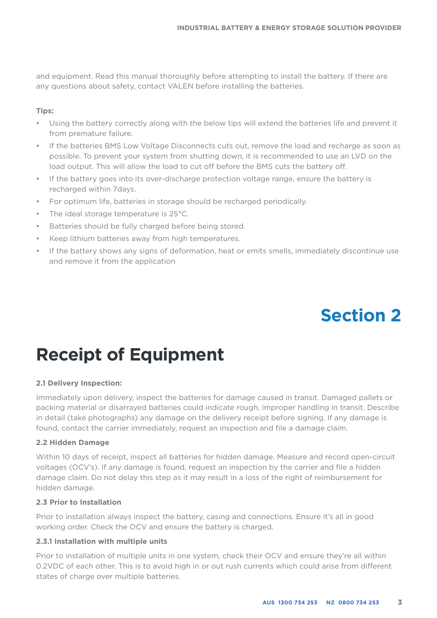and equipment. Read this manual thoroughly before attempting to install the battery. If there are any questions about safety, contact VALEN before installing the batteries.

#### **Tips:**

- Using the battery correctly along with the below tips will extend the batteries life and prevent it from premature failure.
- If the batteries BMS Low Voltage Disconnects cuts out, remove the load and recharge as soon as possible. To prevent your system from shutting down, it is recommended to use an LVD on the load output. This will allow the load to cut off before the BMS cuts the battery off.
- If the battery goes into its over-discharge protection voltage range, ensure the battery is recharged within 7days.
- For optimum life, batteries in storage should be recharged periodically.
- The ideal storage temperature is 25°C.
- Batteries should be fully charged before being stored.
- Keep lithium batteries away from high temperatures.
- If the battery shows any signs of deformation, heat or emits smells, immediately discontinue use and remove it from the application

### **Section 2**

### **Receipt of Equipment**

#### **2.1 Delivery Inspection:**

Immediately upon delivery, inspect the batteries for damage caused in transit. Damaged pallets or packing material or disarrayed batteries could indicate rough, improper handling in transit. Describe in detail (take photographs) any damage on the delivery receipt before signing. If any damage is found, contact the carrier immediately, request an inspection and file a damage claim.

#### **2.2 Hidden Damage**

Within 10 days of receipt, inspect all batteries for hidden damage. Measure and record open-circuit voltages (OCV's). If any damage is found, request an inspection by the carrier and file a hidden damage claim. Do not delay this step as it may result in a loss of the right of reimbursement for hidden damage.

#### **2.3 Prior to Installation**

Prior to installation always inspect the battery, casing and connections. Ensure it's all in good working order. Check the OCV and ensure the battery is charged.

#### **2.3.1 Installation with multiple units**

Prior to installation of multiple units in one system, check their OCV and ensure they're all within 0.2VDC of each other. This is to avoid high in or out rush currents which could arise from different states of charge over multiple batteries.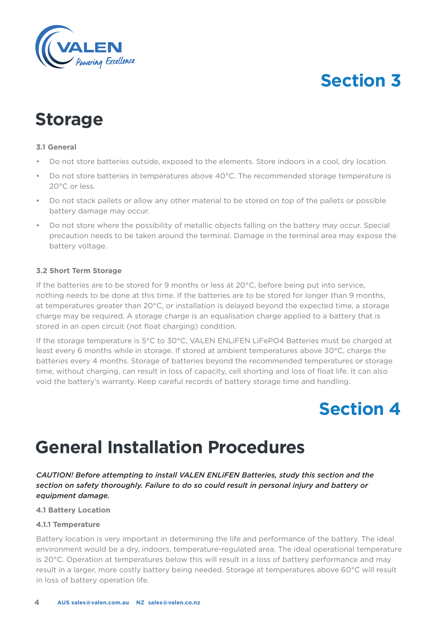

### **Storage**

#### **3.1 General**

- Do not store batteries outside, exposed to the elements. Store indoors in a cool, dry location.
- Do not store batteries in temperatures above 40°C. The recommended storage temperature is 20°C or less.
- Do not stack pallets or allow any other material to be stored on top of the pallets or possible battery damage may occur.
- Do not store where the possibility of metallic objects falling on the battery may occur. Special precaution needs to be taken around the terminal. Damage in the terminal area may expose the battery voltage.

#### **3.2 Short Term Storage**

If the batteries are to be stored for 9 months or less at 20°C, before being put into service, nothing needs to be done at this time. If the batteries are to be stored for longer than 9 months, at temperatures greater than 20°C, or installation is delayed beyond the expected time, a storage charge may be required. A storage charge is an equalisation charge applied to a battery that is stored in an open circuit (not float charging) condition.

If the storage temperature is 5°C to 30°C, VALEN ENLiFEN LiFePO4 Batteries must be charged at least every 6 months while in storage. If stored at ambient temperatures above 30°C, charge the batteries every 4 months. Storage of batteries beyond the recommended temperatures or storage time, without charging, can result in loss of capacity, cell shorting and loss of float life. It can also void the battery's warranty. Keep careful records of battery storage time and handling.

### **Section 4**

### **General Installation Procedures**

*CAUTION! Before attempting to install VALEN ENLiFEN Batteries, study this section and the section on safety thoroughly. Failure to do so could result in personal injury and battery or equipment damage.*

**4.1 Battery Location**

#### **4.1.1 Temperature**

Battery location is very important in determining the life and performance of the battery. The ideal environment would be a dry, indoors, temperature-regulated area. The ideal operational temperature is 20°C. Operation at temperatures below this will result in a loss of battery performance and may result in a larger, more costly battery being needed. Storage at temperatures above 60°C will result in loss of battery operation life.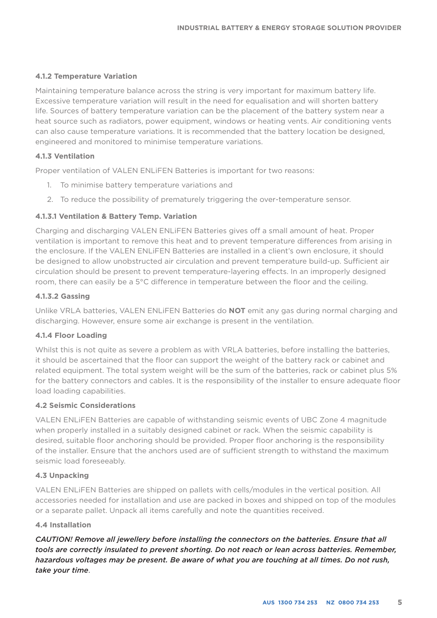#### **4.1.2 Temperature Variation**

Maintaining temperature balance across the string is very important for maximum battery life. Excessive temperature variation will result in the need for equalisation and will shorten battery life. Sources of battery temperature variation can be the placement of the battery system near a heat source such as radiators, power equipment, windows or heating vents. Air conditioning vents can also cause temperature variations. It is recommended that the battery location be designed, engineered and monitored to minimise temperature variations.

#### **4.1.3 Ventilation**

Proper ventilation of VALEN ENLiFEN Batteries is important for two reasons:

- 1. To minimise battery temperature variations and
- 2. To reduce the possibility of prematurely triggering the over-temperature sensor.

#### **4.1.3.1 Ventilation & Battery Temp. Variation**

Charging and discharging VALEN ENLiFEN Batteries gives off a small amount of heat. Proper ventilation is important to remove this heat and to prevent temperature differences from arising in the enclosure. If the VALEN ENLiFEN Batteries are installed in a client's own enclosure, it should be designed to allow unobstructed air circulation and prevent temperature build-up. Sufficient air circulation should be present to prevent temperature-layering effects. In an improperly designed room, there can easily be a 5°C difference in temperature between the floor and the ceiling.

#### **4.1.3.2 Gassing**

Unlike VRLA batteries, VALEN ENLiFEN Batteries do **NOT** emit any gas during normal charging and discharging. However, ensure some air exchange is present in the ventilation.

#### **4.1.4 Floor Loading**

Whilst this is not quite as severe a problem as with VRLA batteries, before installing the batteries, it should be ascertained that the floor can support the weight of the battery rack or cabinet and related equipment. The total system weight will be the sum of the batteries, rack or cabinet plus 5% for the battery connectors and cables. It is the responsibility of the installer to ensure adequate floor load loading capabilities.

#### **4.2 Seismic Considerations**

VALEN ENLiFEN Batteries are capable of withstanding seismic events of UBC Zone 4 magnitude when properly installed in a suitably designed cabinet or rack. When the seismic capability is desired, suitable floor anchoring should be provided. Proper floor anchoring is the responsibility of the installer. Ensure that the anchors used are of sufficient strength to withstand the maximum seismic load foreseeably.

#### **4.3 Unpacking**

VALEN ENLiFEN Batteries are shipped on pallets with cells/modules in the vertical position. All accessories needed for installation and use are packed in boxes and shipped on top of the modules or a separate pallet. Unpack all items carefully and note the quantities received.

#### **4.4 Installation**

*CAUTION! Remove all jewellery before installing the connectors on the batteries. Ensure that all tools are correctly insulated to prevent shorting. Do not reach or lean across batteries. Remember, hazardous voltages may be present. Be aware of what you are touching at all times. Do not rush, take your time*.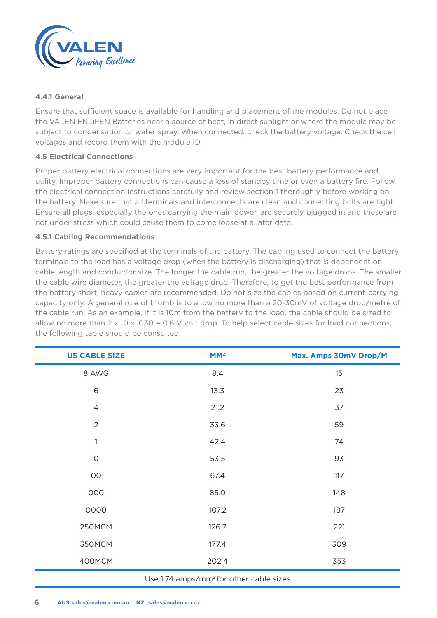

#### **4.4.1 General**

Ensure that sufficient space is available for handling and placement of the modules. Do not place the VALEN ENLiFEN Batteries near a source of heat, in direct sunlight or where the module may be subject to condensation or water spray. When connected, check the battery voltage. Check the cell voltages and record them with the module ID.

#### **4.5 Electrical Connections**

Proper battery electrical connections are very important for the best battery performance and utility. Improper battery connections can cause a loss of standby time or even a battery fire. Follow the electrical connection instructions carefully and review section 1 thoroughly before working on the battery. Make sure that all terminals and interconnects are clean and connecting bolts are tight. Ensure all plugs, especially the ones carrying the main power, are securely plugged in and these are not under stress which could cause them to come loose at a later date.

#### **4.5.1 Cabling Recommendations**

Battery ratings are specified at the terminals of the battery. The cabling used to connect the battery terminals to the load has a voltage drop (when the battery is discharging) that is dependent on cable length and conductor size. The longer the cable run, the greater the voltage drops. The smaller the cable wire diameter, the greater the voltage drop. Therefore, to get the best performance from the battery short, heavy cables are recommended. Do not size the cables based on current-carrying capacity only. A general rule of thumb is to allow no more than a 20-30mV of voltage drop/metre of the cable run. As an example, if it is 10m from the battery to the load, the cable should be sized to allow no more than  $2 \times 10 \times 0.030 = 0.6$  V volt drop. To help select cable sizes for load connections, the following table should be consulted:

| <b>US CABLE SIZE</b>                                                                                                                                                                                                                                                                                                                       | MM <sup>2</sup> | Max. Amps 30mV Drop/M |
|--------------------------------------------------------------------------------------------------------------------------------------------------------------------------------------------------------------------------------------------------------------------------------------------------------------------------------------------|-----------------|-----------------------|
| 8 AWG                                                                                                                                                                                                                                                                                                                                      | 8.4             | 15                    |
| 6                                                                                                                                                                                                                                                                                                                                          | 13.3            | 23                    |
| $\overline{4}$                                                                                                                                                                                                                                                                                                                             | 21.2            | 37                    |
| $\overline{2}$                                                                                                                                                                                                                                                                                                                             | 33.6            | 59                    |
| $\mathbf{1}$                                                                                                                                                                                                                                                                                                                               | 42.4            | 74                    |
| $\circ$                                                                                                                                                                                                                                                                                                                                    | 53.5            | 93                    |
| $_{\rm OO}$                                                                                                                                                                                                                                                                                                                                | 67.4            | 117                   |
| 000                                                                                                                                                                                                                                                                                                                                        | 85.0            | 148                   |
| 0000                                                                                                                                                                                                                                                                                                                                       | 107.2           | 187                   |
| 250MCM                                                                                                                                                                                                                                                                                                                                     | 126.7           | 221                   |
| 350MCM                                                                                                                                                                                                                                                                                                                                     | 177.4           | 309                   |
| 400MCM                                                                                                                                                                                                                                                                                                                                     | 202.4           | 353                   |
| $\mathbf{1} \mathbf{1}$ and $\mathbf{1} \mathbf{1}$ and $\mathbf{1} \mathbf{1}$ and $\mathbf{1} \mathbf{1}$ and $\mathbf{1} \mathbf{1}$ and $\mathbf{1} \mathbf{1}$ and $\mathbf{1} \mathbf{1}$ and $\mathbf{1} \mathbf{1}$ and $\mathbf{1} \mathbf{1}$ and $\mathbf{1} \mathbf{1}$ and $\mathbf{1} \mathbf{1}$ and $\mathbf{1} \mathbf{1$ |                 |                       |

#### Use 1.74 amps/mm2 for other cable sizes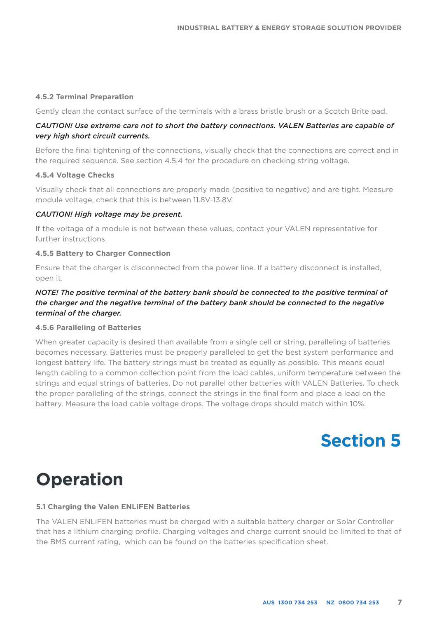#### **4.5.2 Terminal Preparation**

Gently clean the contact surface of the terminals with a brass bristle brush or a Scotch Brite pad.

#### *CAUTION! Use extreme care not to short the battery connections. VALEN Batteries are capable of very high short circuit currents.*

Before the final tightening of the connections, visually check that the connections are correct and in the required sequence. See section 4.5.4 for the procedure on checking string voltage.

#### **4.5.4 Voltage Checks**

Visually check that all connections are properly made (positive to negative) and are tight. Measure module voltage, check that this is between 11.8V-13.8V.

#### *CAUTION! High voltage may be present.*

If the voltage of a module is not between these values, contact your VALEN representative for further instructions.

#### **4.5.5 Battery to Charger Connection**

Ensure that the charger is disconnected from the power line. If a battery disconnect is installed, open it.

#### *NOTE! The positive terminal of the battery bank should be connected to the positive terminal of the charger and the negative terminal of the battery bank should be connected to the negative terminal of the charger.*

#### **4.5.6 Paralleling of Batteries**

When greater capacity is desired than available from a single cell or string, paralleling of batteries becomes necessary. Batteries must be properly paralleled to get the best system performance and longest battery life. The battery strings must be treated as equally as possible. This means equal length cabling to a common collection point from the load cables, uniform temperature between the strings and equal strings of batteries. Do not parallel other batteries with VALEN Batteries. To check the proper paralleling of the strings, connect the strings in the final form and place a load on the battery. Measure the load cable voltage drops. The voltage drops should match within 10%.

### **Section 5**

### **Operation**

#### **5.1 Charging the Valen ENLiFEN Batteries**

The VALEN ENLiFEN batteries must be charged with a suitable battery charger or Solar Controller that has a lithium charging profile. Charging voltages and charge current should be limited to that of the BMS current rating, which can be found on the batteries specification sheet.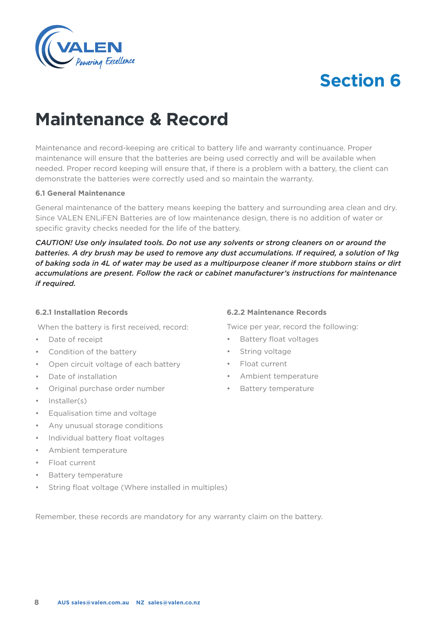

### **Maintenance & Record**

Maintenance and record-keeping are critical to battery life and warranty continuance. Proper maintenance will ensure that the batteries are being used correctly and will be available when needed. Proper record keeping will ensure that, if there is a problem with a battery, the client can demonstrate the batteries were correctly used and so maintain the warranty.

#### **6.1 General Maintenance**

General maintenance of the battery means keeping the battery and surrounding area clean and dry. Since VALEN ENLiFEN Batteries are of low maintenance design, there is no addition of water or specific gravity checks needed for the life of the battery.

*CAUTION! Use only insulated tools. Do not use any solvents or strong cleaners on or around the batteries. A dry brush may be used to remove any dust accumulations. If required, a solution of 1kg of baking soda in 4L of water may be used as a multipurpose cleaner if more stubborn stains or dirt accumulations are present. Follow the rack or cabinet manufacturer's instructions for maintenance if required.* 

#### **6.2.1 Installation Records**

When the battery is first received, record:

- Date of receipt
- Condition of the battery
- Open circuit voltage of each battery
- Date of installation
- Original purchase order number
- Installer(s)
- Equalisation time and voltage
- Any unusual storage conditions
- Individual battery float voltages
- Ambient temperature
- Float current
- Battery temperature
- String float voltage (Where installed in multiples)

**6.2.2 Maintenance Records**

Twice per year, record the following:

- Battery float voltages
- String voltage
- Float current
- Ambient temperature
- Battery temperature

Remember, these records are mandatory for any warranty claim on the battery.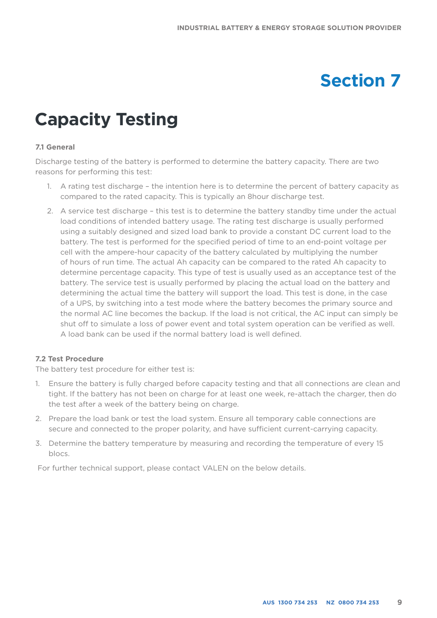### **Capacity Testing**

#### **7.1 General**

Discharge testing of the battery is performed to determine the battery capacity. There are two reasons for performing this test:

- 1. A rating test discharge the intention here is to determine the percent of battery capacity as compared to the rated capacity. This is typically an 8hour discharge test.
- 2. A service test discharge this test is to determine the battery standby time under the actual load conditions of intended battery usage. The rating test discharge is usually performed using a suitably designed and sized load bank to provide a constant DC current load to the battery. The test is performed for the specified period of time to an end-point voltage per cell with the ampere-hour capacity of the battery calculated by multiplying the number of hours of run time. The actual Ah capacity can be compared to the rated Ah capacity to determine percentage capacity. This type of test is usually used as an acceptance test of the battery. The service test is usually performed by placing the actual load on the battery and determining the actual time the battery will support the load. This test is done, in the case of a UPS, by switching into a test mode where the battery becomes the primary source and the normal AC line becomes the backup. If the load is not critical, the AC input can simply be shut off to simulate a loss of power event and total system operation can be verified as well. A load bank can be used if the normal battery load is well defined.

#### **7.2 Test Procedure**

The battery test procedure for either test is:

- 1. Ensure the battery is fully charged before capacity testing and that all connections are clean and tight. If the battery has not been on charge for at least one week, re-attach the charger, then do the test after a week of the battery being on charge.
- 2. Prepare the load bank or test the load system. Ensure all temporary cable connections are secure and connected to the proper polarity, and have sufficient current-carrying capacity.
- 3. Determine the battery temperature by measuring and recording the temperature of every 15 blocs.

For further technical support, please contact VALEN on the below details.